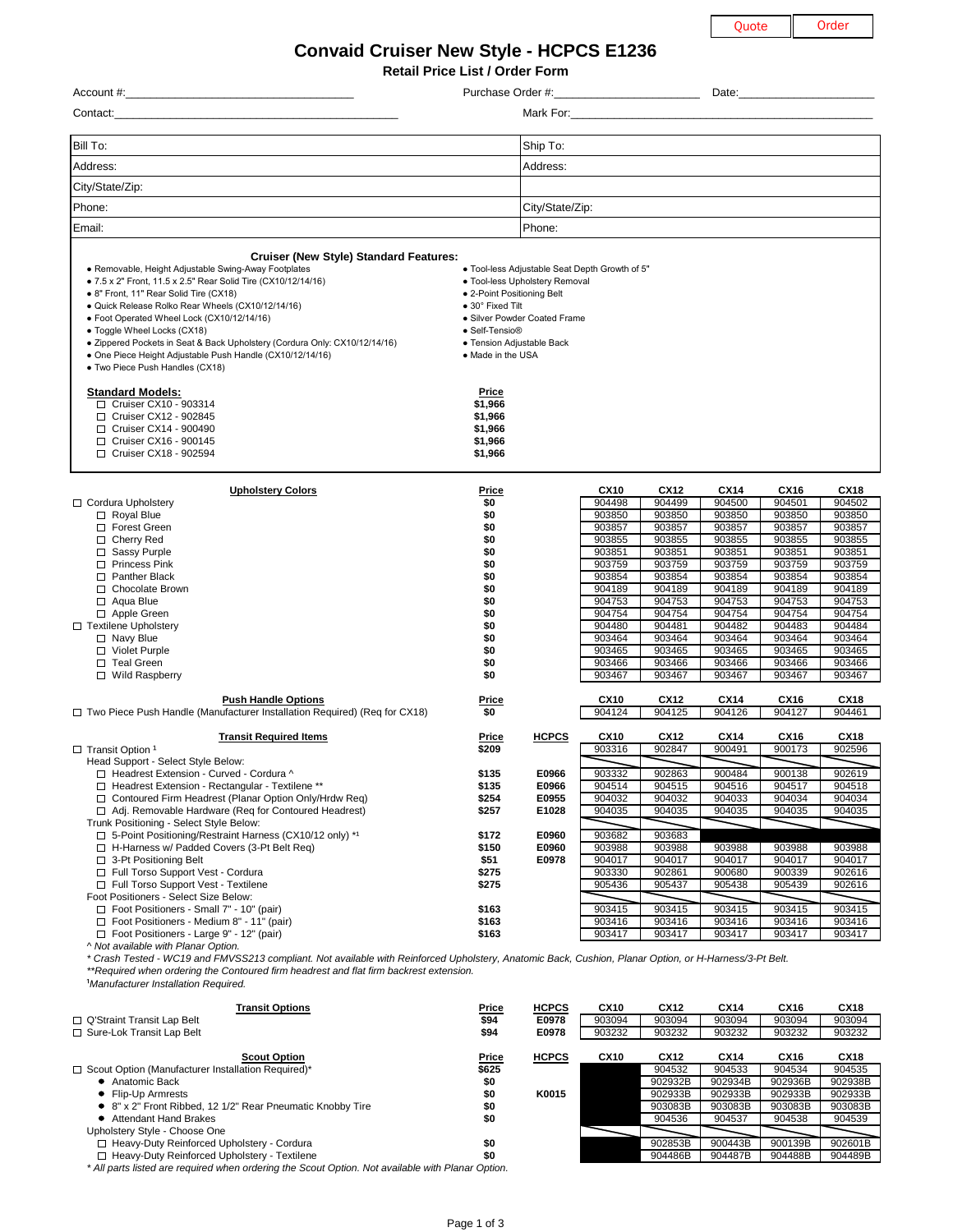| ote | Orc |  |
|-----|-----|--|
|     |     |  |

|                                                                                                                                                                                               |                                                        |                                                   |                       |                       | Quote                 |                       | Order                 |
|-----------------------------------------------------------------------------------------------------------------------------------------------------------------------------------------------|--------------------------------------------------------|---------------------------------------------------|-----------------------|-----------------------|-----------------------|-----------------------|-----------------------|
| <b>Convaid Cruiser New Style - HCPCS E1236</b>                                                                                                                                                |                                                        |                                                   |                       |                       |                       |                       |                       |
|                                                                                                                                                                                               | <b>Retail Price List / Order Form</b>                  |                                                   |                       |                       |                       |                       |                       |
|                                                                                                                                                                                               |                                                        | Purchase Order #: _______________________________ |                       |                       |                       |                       |                       |
|                                                                                                                                                                                               |                                                        |                                                   |                       |                       |                       |                       |                       |
|                                                                                                                                                                                               |                                                        |                                                   |                       |                       |                       |                       |                       |
| Bill To:                                                                                                                                                                                      |                                                        | Ship To:                                          |                       |                       |                       |                       |                       |
| Address:                                                                                                                                                                                      |                                                        | Address:                                          |                       |                       |                       |                       |                       |
| City/State/Zip:                                                                                                                                                                               |                                                        |                                                   |                       |                       |                       |                       |                       |
| Phone:                                                                                                                                                                                        |                                                        | City/State/Zip:                                   |                       |                       |                       |                       |                       |
| Email:                                                                                                                                                                                        |                                                        | Phone:                                            |                       |                       |                       |                       |                       |
|                                                                                                                                                                                               |                                                        |                                                   |                       |                       |                       |                       |                       |
| <b>Cruiser (New Style) Standard Features:</b><br>• Removable, Height Adjustable Swing-Away Footplates                                                                                         |                                                        | . Tool-less Adjustable Seat Depth Growth of 5"    |                       |                       |                       |                       |                       |
| • 7.5 x 2" Front, 11.5 x 2.5" Rear Solid Tire (CX10/12/14/16)                                                                                                                                 |                                                        | • Tool-less Upholstery Removal                    |                       |                       |                       |                       |                       |
| • 8" Front, 11" Rear Solid Tire (CX18)<br>· Quick Release Rolko Rear Wheels (CX10/12/14/16)                                                                                                   | • 2-Point Positioning Belt<br>$\bullet$ 30° Fixed Tilt |                                                   |                       |                       |                       |                       |                       |
| • Foot Operated Wheel Lock (CX10/12/14/16)                                                                                                                                                    |                                                        | • Silver Powder Coated Frame                      |                       |                       |                       |                       |                       |
| • Toggle Wheel Locks (CX18)<br>• Zippered Pockets in Seat & Back Upholstery (Cordura Only: CX10/12/14/16)                                                                                     | • Self-Tensio®                                         | • Tension Adjustable Back                         |                       |                       |                       |                       |                       |
| • One Piece Height Adjustable Push Handle (CX10/12/14/16)                                                                                                                                     | • Made in the USA                                      |                                                   |                       |                       |                       |                       |                       |
| • Two Piece Push Handles (CX18)                                                                                                                                                               |                                                        |                                                   |                       |                       |                       |                       |                       |
| <b>Standard Models:</b>                                                                                                                                                                       | <b>Price</b>                                           |                                                   |                       |                       |                       |                       |                       |
| □ Cruiser CX10 - 903314<br>□ Cruiser CX12 - 902845                                                                                                                                            | \$1,966<br>\$1,966                                     |                                                   |                       |                       |                       |                       |                       |
| □ Cruiser CX14 - 900490                                                                                                                                                                       | \$1,966                                                |                                                   |                       |                       |                       |                       |                       |
| □ Cruiser CX16 - 900145<br>$\Box$ Cruiser CX18 - 902594                                                                                                                                       | \$1,966<br>\$1,966                                     |                                                   |                       |                       |                       |                       |                       |
|                                                                                                                                                                                               |                                                        |                                                   |                       |                       |                       |                       |                       |
| <b>Upholstery Colors</b>                                                                                                                                                                      | <b>Price</b>                                           |                                                   | <b>CX10</b>           | <b>CX12</b>           | <b>CX14</b>           | <b>CX16</b>           | <b>CX18</b>           |
| □ Cordura Upholstery                                                                                                                                                                          | \$0                                                    |                                                   | 904498                | 904499                | 904500                | 904501                | 904502                |
| $\Box$ Royal Blue<br><b>Forest Green</b>                                                                                                                                                      | \$0<br>\$0                                             |                                                   | 903850<br>903857      | 903850<br>903857      | 903850<br>903857      | 903850<br>903857      | 903850<br>903857      |
| $\Box$ Cherry Red                                                                                                                                                                             | \$0                                                    |                                                   | 903855                | 903855                | 903855                | 903855                | 903855                |
| □ Sassy Purple<br>□ Princess Pink                                                                                                                                                             | \$0<br>\$0                                             |                                                   | 903851<br>903759      | 903851<br>903759      | 903851<br>903759      | 903851<br>903759      | 903851<br>903759      |
| □ Panther Black                                                                                                                                                                               | \$0                                                    |                                                   | 903854                | 903854                | 903854                | 903854                | 903854                |
| □ Chocolate Brown<br>$\Box$ Aqua Blue                                                                                                                                                         | \$0<br>\$0                                             |                                                   | 904189<br>904753      | 904189<br>904753      | 904189<br>904753      | 904189<br>904753      | 904189<br>904753      |
| $\Box$ Apple Green                                                                                                                                                                            | \$0                                                    |                                                   | 904754                | 904754                | 904754                | 904754                | 904754                |
| □ Textilene Upholstery<br>$\Box$ Navy Blue                                                                                                                                                    | \$0<br>\$0                                             |                                                   | 904480<br>903464      | 904481<br>903464      | 904482<br>903464      | 904483<br>903464      | 904484<br>903464      |
| □ Violet Purple                                                                                                                                                                               | \$0                                                    |                                                   | 903465                | 903465                | 903465                | 903465                | 903465                |
| $\Box$ Teal Green<br>□ Wild Raspberry                                                                                                                                                         | \$0<br>\$0                                             |                                                   | 903466<br>903467      | 903466<br>903467      | 903466<br>903467      | 903466<br>903467      | 903466<br>903467      |
|                                                                                                                                                                                               |                                                        |                                                   |                       |                       |                       |                       |                       |
| <b>Push Handle Options</b><br>□ Two Piece Push Handle (Manufacturer Installation Required) (Req for CX18)                                                                                     | <b>Price</b><br>\$0                                    |                                                   | <b>CX10</b><br>904124 | <b>CX12</b><br>904125 | <b>CX14</b><br>904126 | <b>CX16</b><br>904127 | <b>CX18</b><br>904461 |
| <b>Transit Required Items</b>                                                                                                                                                                 | <b>Price</b>                                           | <b>HCPCS</b>                                      | <b>CX10</b>           | <b>CX12</b>           | <b>CX14</b>           | <b>CX16</b>           | <b>CX18</b>           |
| $\Box$ Transit Option 1                                                                                                                                                                       | \$209                                                  |                                                   | 903316                | 902847                | 900491                | 900173                | 902596                |
| Head Support - Select Style Below:<br>□ Headrest Extension - Curved - Cordura ^                                                                                                               | \$135                                                  | E0966                                             | 903332                | 902863                | 900484                | 900138                | 902619                |
| □ Headrest Extension - Rectangular - Textilene **                                                                                                                                             | \$135                                                  | E0966                                             | 904514                | 904515                | 904516                | 904517                | 904518                |
| □ Contoured Firm Headrest (Planar Option Only/Hrdw Req)<br>□ Adj. Removable Hardware (Req for Contoured Headrest)                                                                             | \$254<br>\$257                                         | E0955<br>E1028                                    | 904032<br>904035      | 904032<br>904035      | 904033<br>904035      | 904034<br>904035      | 904034<br>904035      |
| Trunk Positioning - Select Style Below:                                                                                                                                                       |                                                        |                                                   |                       |                       |                       |                       |                       |
| □ 5-Point Positioning/Restraint Harness (CX10/12 only) *1<br>□ H-Harness w/ Padded Covers (3-Pt Belt Req)                                                                                     | \$172<br>\$150                                         | E0960<br>E0960                                    | 903682<br>903988      | 903683<br>903988      | 903988                | 903988                | 903988                |
| □ 3-Pt Positioning Belt                                                                                                                                                                       | \$51                                                   | E0978                                             | 904017                | 904017                | 904017                | 904017                | 904017                |
| □ Full Torso Support Vest - Cordura<br>□ Full Torso Support Vest - Textilene                                                                                                                  | \$275<br>\$275                                         |                                                   | 903330<br>905436      | 902861<br>905437      | 900680<br>905438      | 900339<br>905439      | 902616<br>902616      |
| Foot Positioners - Select Size Below:                                                                                                                                                         |                                                        |                                                   |                       |                       |                       |                       |                       |
| □ Foot Positioners - Small 7" - 10" (pair)<br>$\Box$ Foot Positioners - Medium 8" - 11" (pair)                                                                                                | \$163<br>\$163                                         |                                                   | 903415<br>903416      | 903415<br>903416      | 903415<br>903416      | 903415<br>903416      | 903415<br>903416      |
| □ Foot Positioners - Large 9" - 12" (pair)                                                                                                                                                    | \$163                                                  |                                                   | 903417                | 903417                | 903417                | 903417                | 903417                |
| ^ Not available with Planar Option.<br>* Crash Tested - WC19 and FMVSS213 compliant. Not available with Reinforced Upholstery, Anatomic Back, Cushion, Planar Option, or H-Harness/3-Pt Belt. |                                                        |                                                   |                       |                       |                       |                       |                       |
| **Required when ordering the Contoured firm headrest and flat firm backrest extension.                                                                                                        |                                                        |                                                   |                       |                       |                       |                       |                       |
| <sup>1</sup> Manufacturer Installation Required.                                                                                                                                              |                                                        |                                                   |                       |                       |                       |                       |                       |
| <b>Transit Options</b>                                                                                                                                                                        | <b>Price</b>                                           | <b>HCPCS</b>                                      | <b>CX10</b>           | <b>CX12</b>           | <b>CX14</b>           | <b>CX16</b>           | <b>CX18</b>           |
| $\Box$ Q'Straint Transit Lap Belt<br>□ Sure-Lok Transit Lap Belt                                                                                                                              | \$94<br>\$94                                           | E0978<br>E0978                                    | 903094<br>903232      | 903094<br>903232      | 903094<br>903232      | 903094<br>903232      | 903094<br>903232      |
|                                                                                                                                                                                               |                                                        |                                                   |                       |                       |                       |                       |                       |
| <b>Scout Option</b><br>□ Scout Option (Manufacturer Installation Required)*                                                                                                                   | <b>Price</b><br>\$625                                  | <b>HCPCS</b>                                      | <b>CX10</b>           | <b>CX12</b><br>904532 | <b>CX14</b><br>904533 | <b>CX16</b><br>904534 | <b>CX18</b><br>904535 |
| • Anatomic Back                                                                                                                                                                               | \$0                                                    |                                                   |                       | 902932B               | 902934B               | 902936B               | 902938B               |
| Flip-Up Armrests<br>● 8" x 2" Front Ribbed, 12 1/2" Rear Pneumatic Knobby Tire                                                                                                                | \$0<br>\$0                                             | K0015                                             |                       | 902933B<br>903083B    | 902933B<br>903083B    | 902933B<br>903083B    | 902933B<br>903083B    |
| • Attendant Hand Brakes                                                                                                                                                                       | \$0                                                    |                                                   |                       | 904536                | 904537                | 904538                | 904539                |
| Upholstery Style - Choose One<br>□ Heavy-Duty Reinforced Upholstery - Cordura                                                                                                                 | \$0                                                    |                                                   |                       | 902853B               | 900443B               | 900139B               | 902601B               |
| □ Heavy-Duty Reinforced Upholstery - Textilene                                                                                                                                                | \$0                                                    |                                                   |                       | 904486B               | 904487B               | 904488B               | 904489B               |
| * All parts listed are required when ordering the Scout Option. Not available with Planar Option.                                                                                             |                                                        |                                                   |                       |                       |                       |                       |                       |
|                                                                                                                                                                                               |                                                        |                                                   |                       |                       |                       |                       |                       |
|                                                                                                                                                                                               |                                                        |                                                   |                       |                       |                       |                       |                       |
|                                                                                                                                                                                               | Page 1 of 3                                            |                                                   |                       |                       |                       |                       |                       |

| \$0            |              | 903855           | 903855           | 903855           | 903855           | 903855           |
|----------------|--------------|------------------|------------------|------------------|------------------|------------------|
| \$0            |              | 903851           | 903851           | 903851           | 903851           | 903851           |
|                |              | 903759           | 903759           | 903759           | 903759           | 903759           |
| \$0            |              | 903854           | 903854           | 903854           | 903854           | 903854           |
| \$0            |              | 904189           | 904189           | 904189           | 904189           | 904189           |
| \$0            |              | 904753           | 904753           | 904753           | 904753           | 904753           |
| \$0            |              | 904754           | 904754           | 904754           | 904754           | 904754           |
| \$0            |              | 904480           | 904481           | 904482           | 904483           | 904484           |
| \$0            |              | 903464           | 903464           | 903464           | 903464           | 903464           |
| \$0            |              | 903465           | 903465           | 903465           | 903465           | 903465           |
| \$0            |              | 903466           | 903466           | 903466           | 903466           | 903466           |
| \$0            |              | 903467           | 903467           | 903467           | 903467           | 903467           |
|                |              |                  |                  |                  |                  |                  |
| <u>Price</u>   |              | <b>CX10</b>      | <b>CX12</b>      | <b>CX14</b>      | <b>CX16</b>      | <b>CX18</b>      |
| \$0            |              |                  | 904125           | 904126           | 904127           | 904461           |
|                |              |                  |                  |                  |                  |                  |
|                |              |                  |                  |                  |                  |                  |
| <b>Price</b>   | <b>HCPCS</b> | <b>CX10</b>      | <b>CX12</b>      | <b>CX14</b>      | <b>CX16</b>      | <b>CX18</b>      |
| \$209          |              | 903316           | 902847           | 900491           | 900173           | 902596           |
|                |              |                  |                  |                  |                  |                  |
| \$135          | E0966        | 903332           | 902863           | 900484           | 900138           | 902619           |
| \$135          | E0966        | 904514           | 904515           | 904516           | 904517           | 904518           |
| \$254          | E0955        | 904032           | 904032           | 904033           | 904034           | 904034           |
| \$257          | E1028        | 904035           | 904035           | 904035           | 904035           | 904035           |
|                |              |                  |                  |                  |                  |                  |
| \$172          | E0960        | 903682           | 903683           |                  |                  |                  |
| \$150          | E0960        | 903988           | 903988           | 903988           | 903988           | 903988           |
| \$51           | E0978        | 904017           | 904017           | 904017           | 904017           | 904017           |
| \$275          |              | 903330           | 902861           | 900680           | 900339           | 902616           |
| \$275          |              | 905436           | 905437           | 905438           | 905439           | 902616           |
|                |              |                  |                  |                  |                  |                  |
| \$163          |              | 903415           | 903415           | 903415           | 903415           | 903415           |
| \$163<br>\$163 |              | 903416<br>903417 | 903416<br>903417 | 903416<br>903417 | 903416<br>903417 | 903416<br>903417 |
|                | \$0          |                  | 904124           |                  |                  |                  |

| <sup>1</sup> Manufacturer Installation Required. |  |
|--------------------------------------------------|--|
|--------------------------------------------------|--|

| Transit Options                                                                                   | <b>Price</b> | <b>HCPCS</b> | <b>CX10</b> | CX12    | <b>CX14</b> | CX16    | <b>CX18</b> |
|---------------------------------------------------------------------------------------------------|--------------|--------------|-------------|---------|-------------|---------|-------------|
| $\Box$ Q'Straint Transit Lap Belt                                                                 | \$94         | E0978        | 903094      | 903094  | 903094      | 903094  | 903094      |
| $\Box$ Sure-Lok Transit Lap Belt                                                                  | \$94         | E0978        | 903232      | 903232  | 903232      | 903232  | 903232      |
| <b>Scout Option</b>                                                                               | <b>Price</b> | <b>HCPCS</b> | <b>CX10</b> | CX12    | <b>CX14</b> | CX16    | <b>CX18</b> |
| $\Box$ Scout Option (Manufacturer Installation Required)*                                         | \$625        |              |             | 904532  | 904533      | 904534  | 904535      |
| • Anatomic Back                                                                                   | \$0          |              |             | 902932B | 902934B     | 902936B | 902938B     |
| • Flip-Up Armrests                                                                                | \$0          | K0015        |             | 902933B | 902933B     | 902933B | 902933B     |
| • 8" x 2" Front Ribbed, 12 1/2" Rear Pneumatic Knobby Tire                                        | \$0          |              |             | 903083B | 903083B     | 903083B | 903083B     |
| • Attendant Hand Brakes                                                                           | \$0          |              |             | 904536  | 904537      | 904538  | 904539      |
| Upholstery Style - Choose One                                                                     |              |              |             |         |             |         |             |
| □ Heavy-Duty Reinforced Upholstery - Cordura                                                      | \$0          |              |             | 902853B | 900443B     | 900139B | 902601B     |
| $\Box$ Heavy-Duty Reinforced Upholstery - Textilene                                               | \$0          |              |             | 904486B | 904487B     | 904488B | 904489B     |
| * All parts listed are required when ordering the Scout Option. Not available with Planar Option. |              |              |             |         |             |         |             |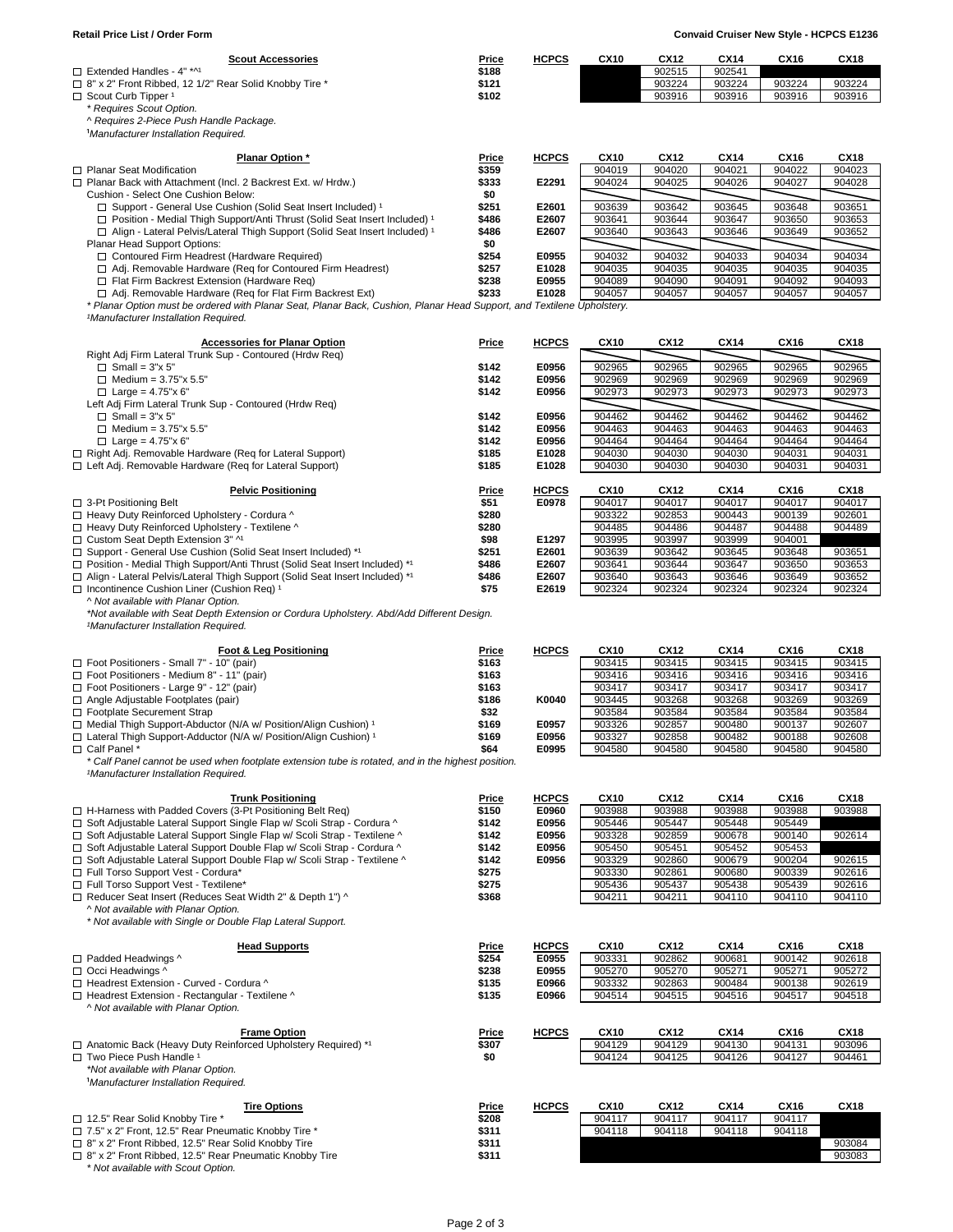| <b>Scout Accessories</b><br>$\Box$ Extended Handles - 4" *^1                                                                                                    | <b>Price</b>          | <b>HCPCS</b>   | <b>CX10</b>      | <b>CX12</b>           | <b>CX14</b><br>902541 | <b>CX16</b>           | <b>CX18</b>      |
|-----------------------------------------------------------------------------------------------------------------------------------------------------------------|-----------------------|----------------|------------------|-----------------------|-----------------------|-----------------------|------------------|
| □ 8" x 2" Front Ribbed, 12 1/2" Rear Solid Knobby Tire *                                                                                                        | \$188<br>\$121        |                |                  | 902515<br>903224      | 903224                | 903224                | 903224           |
| $\Box$ Scout Curb Tipper <sup>1</sup>                                                                                                                           | \$102                 |                |                  | 903916                | 903916                | 903916                | 903916           |
| * Requires Scout Option.                                                                                                                                        |                       |                |                  |                       |                       |                       |                  |
| ^ Requires 2-Piece Push Handle Package.                                                                                                                         |                       |                |                  |                       |                       |                       |                  |
| <sup>1</sup> Manufacturer Installation Required.                                                                                                                |                       |                |                  |                       |                       |                       |                  |
|                                                                                                                                                                 |                       |                |                  |                       |                       |                       |                  |
| <b>Planar Option *</b><br>$\Box$ Planar Seat Modification                                                                                                       | <b>Price</b><br>\$359 | <b>HCPCS</b>   | <b>CX10</b>      | <b>CX12</b><br>904020 | <b>CX14</b>           | <b>CX16</b><br>904022 | <b>CX18</b>      |
| □ Planar Back with Attachment (Incl. 2 Backrest Ext. w/ Hrdw.)                                                                                                  | \$333                 | E2291          | 904019<br>904024 | 904025                | 904021<br>904026      | 904027                | 904023<br>904028 |
| Cushion - Select One Cushion Below:                                                                                                                             | \$0                   |                |                  |                       |                       |                       |                  |
| □ Support - General Use Cushion (Solid Seat Insert Included) 1                                                                                                  | \$251                 | E2601          | 903639           | 903642                | 903645                | 903648                | 903651           |
| □ Position - Medial Thigh Support/Anti Thrust (Solid Seat Insert Included) 1                                                                                    | \$486                 | E2607          | 903641           | 903644                | 903647                | 903650                | 903653           |
| □ Align - Lateral Pelvis/Lateral Thigh Support (Solid Seat Insert Included) 1                                                                                   | \$486                 | E2607          | 903640           | 903643                | 903646                | 903649                | 903652           |
| Planar Head Support Options:                                                                                                                                    | \$0                   |                |                  |                       |                       |                       |                  |
| □ Contoured Firm Headrest (Hardware Required)                                                                                                                   | \$254                 | E0955          | 904032           | 904032                | 904033                | 904034                | 904034           |
| □ Adj. Removable Hardware (Req for Contoured Firm Headrest)<br>$\Box$ Flat Firm Backrest Extension (Hardware Req)                                               | \$257<br>\$238        | E1028<br>E0955 | 904035<br>904089 | 904035<br>904090      | 904035<br>904091      | 904035<br>904092      | 904035<br>904093 |
| □ Adj. Removable Hardware (Req for Flat Firm Backrest Ext)                                                                                                      | \$233                 | E1028          | 904057           | 904057                | 904057                | 904057                | 904057           |
| * Planar Option must be ordered with Planar Seat, Planar Back, Cushion, Planar Head Support, and Textilene Upholstery.                                          |                       |                |                  |                       |                       |                       |                  |
| <sup>1</sup> Manufacturer Installation Required.                                                                                                                |                       |                |                  |                       |                       |                       |                  |
|                                                                                                                                                                 |                       |                |                  |                       |                       |                       |                  |
| <b>Accessories for Planar Option</b>                                                                                                                            | <b>Price</b>          | <b>HCPCS</b>   | <b>CX10</b>      | <b>CX12</b>           | <b>CX14</b>           | <b>CX16</b>           | <b>CX18</b>      |
| Right Adj Firm Lateral Trunk Sup - Contoured (Hrdw Req)<br>$\Box$ Small = 3"x 5"                                                                                | \$142                 | E0956          | 902965           | 902965                | 902965                | 902965                | 902965           |
| $\Box$ Medium = 3.75"x 5.5"                                                                                                                                     | \$142                 | E0956          | 902969           | 902969                | 902969                | 902969                | 902969           |
| □ Large = $4.75$ "x 6"                                                                                                                                          | \$142                 | E0956          | 902973           | 902973                | 902973                | 902973                | 902973           |
| Left Adj Firm Lateral Trunk Sup - Contoured (Hrdw Req)                                                                                                          |                       |                |                  |                       |                       |                       |                  |
| $\Box$ Small = 3"x 5"                                                                                                                                           | \$142                 | E0956          | 904462           | 904462                | 904462                | 904462                | 904462           |
| $\Box$ Medium = 3.75"x 5.5"                                                                                                                                     | \$142                 | E0956          | 904463           | 904463                | 904463                | 904463                | 904463           |
| □ Large = $4.75$ "x 6"                                                                                                                                          | \$142                 | E0956          | 904464           | 904464                | 904464                | 904464                | 904464           |
| □ Right Adj. Removable Hardware (Req for Lateral Support)                                                                                                       | \$185                 | E1028          | 904030           | 904030                | 904030                | 904031                | 904031           |
| □ Left Adj. Removable Hardware (Req for Lateral Support)                                                                                                        | \$185                 | E1028          | 904030           | 904030                | 904030                | 904031                | 904031           |
| <b>Pelvic Positioning</b>                                                                                                                                       | <b>Price</b>          | <b>HCPCS</b>   | <b>CX10</b>      | <b>CX12</b>           | <b>CX14</b>           | <b>CX16</b>           | <b>CX18</b>      |
| $\Box$ 3-Pt Positioning Belt                                                                                                                                    | \$51                  | E0978          | 904017           | 904017                | 904017                | 904017                | 904017           |
| □ Heavy Duty Reinforced Upholstery - Cordura ^                                                                                                                  | \$280                 |                | 903322           | 902853                | 900443                | 900139                | 902601           |
| □ Heavy Duty Reinforced Upholstery - Textilene ^                                                                                                                | \$280                 |                | 904485           | 904486                | 904487                | 904488                | 904489           |
| □ Custom Seat Depth Extension 3" ^1                                                                                                                             | \$98                  | E1297          | 903995           | 903997                | 903999                | 904001                |                  |
| □ Support - General Use Cushion (Solid Seat Insert Included) *1                                                                                                 | \$251                 | E2601          | 903639           | 903642                | 903645                | 903648                | 903651           |
| □ Position - Medial Thigh Support/Anti Thrust (Solid Seat Insert Included) *1<br>□ Align - Lateral Pelvis/Lateral Thigh Support (Solid Seat Insert Included) *1 | \$486<br>\$486        | E2607<br>E2607 | 903641<br>903640 | 903644<br>903643      | 903647<br>903646      | 903650<br>903649      | 903653<br>903652 |
| $\Box$ Incontinence Cushion Liner (Cushion Req) <sup>1</sup>                                                                                                    | \$75                  | E2619          | 902324           | 902324                | 902324                | 902324                | 902324           |
| ^ Not available with Planar Option.                                                                                                                             |                       |                |                  |                       |                       |                       |                  |
| *Not available with Seat Depth Extension or Cordura Upholstery. Abd/Add Different Design.                                                                       |                       |                |                  |                       |                       |                       |                  |
| <sup>1</sup> Manufacturer Installation Required.                                                                                                                |                       |                |                  |                       |                       |                       |                  |
|                                                                                                                                                                 |                       |                | <b>CX10</b>      | <b>CX12</b>           |                       | <b>CX16</b>           | <b>CX18</b>      |
| <b>Foot &amp; Leg Positioning</b><br>□ Foot Positioners - Small 7" - 10" (pair)                                                                                 | <b>Price</b><br>\$163 | <b>HCPCS</b>   | 903415           | 903415                | <b>CX14</b><br>903415 | 903415                | 903415           |
| □ Foot Positioners - Medium 8" - 11" (pair)                                                                                                                     | \$163                 |                | 903416           | 903416                | 903416                | 903416                | 903416           |
| □ Foot Positioners - Large 9" - 12" (pair)                                                                                                                      | \$163                 |                | 903417           | 903417                | 903417                | 903417                | 903417           |
| $\Box$ Angle Adjustable Footplates (pair)                                                                                                                       | \$186                 |                | 903445           |                       |                       |                       |                  |
|                                                                                                                                                                 |                       | K0040          |                  | 903268                | 903268                | 903269                | 903269           |
| □ Footplate Securement Strap                                                                                                                                    | \$32                  |                | 903584           | 903584                | 903584                | 903584                | 903584           |
| □ Medial Thigh Support-Abductor (N/A w/ Position/Align Cushion) 1                                                                                               | \$169                 | E0957          | 903326           | 902857                | 900480                | 900137                | 902607           |
| □ Lateral Thigh Support-Adductor (N/A w/ Position/Align Cushion) 1                                                                                              | \$169                 | E0956          | 903327           | 902858                | 900482                | 900188                | 902608           |
| □ Calf Panel *                                                                                                                                                  | \$64                  | E0995          | 904580           | 904580                | 904580                | 904580                | 904580           |
| * Calf Panel cannot be used when footplate extension tube is rotated, and in the highest position.                                                              |                       |                |                  |                       |                       |                       |                  |
| <sup>1</sup> Manufacturer Installation Required.                                                                                                                |                       |                |                  |                       |                       |                       |                  |
| <b>Trunk Positioning</b>                                                                                                                                        | <b>Price</b>          | <b>HCPCS</b>   | <b>CX10</b>      | <b>CX12</b>           | <b>CX14</b>           | <b>CX16</b>           | <b>CX18</b>      |
| □ H-Harness with Padded Covers (3-Pt Positioning Belt Req)                                                                                                      | \$150                 | E0960          | 903988           | 903988                | 903988                | 903988                | 903988           |
| □ Soft Adjustable Lateral Support Single Flap w/ Scoli Strap - Cordura ^                                                                                        | \$142                 | E0956          | 905446           | 905447                | 905448                | 905449                |                  |
| □ Soft Adjustable Lateral Support Single Flap w/ Scoli Strap - Textilene ^                                                                                      | \$142                 | E0956          | 903328           | 902859                | 900678                | 900140                | 902614           |
| □ Soft Adjustable Lateral Support Double Flap w/ Scoli Strap - Cordura ^<br>□ Soft Adjustable Lateral Support Double Flap w/ Scoli Strap - Textilene ^          | \$142<br>\$142        | E0956<br>E0956 | 905450<br>903329 | 905451<br>902860      | 905452<br>900679      | 905453<br>900204      | 902615           |
| Full Torso Support Vest - Cordura*                                                                                                                              | \$275                 |                | 903330           | 902861                | 900680                | 900339                | 902616           |
| Full Torso Support Vest - Textilene*                                                                                                                            | \$275                 |                | 905436           | 905437                | 905438                | 905439                | 902616           |
| □ Reducer Seat Insert (Reduces Seat Width 2" & Depth 1") ^                                                                                                      | \$368                 |                | 904211           | 904211                | 904110                | 904110                | 904110           |
| ^ Not available with Planar Option.                                                                                                                             |                       |                |                  |                       |                       |                       |                  |
| * Not available with Single or Double Flap Lateral Support.                                                                                                     |                       |                |                  |                       |                       |                       |                  |
| <b>Head Supports</b>                                                                                                                                            | <b>Price</b>          | <b>HCPCS</b>   | <b>CX10</b>      | <b>CX12</b>           | <b>CX14</b>           | <b>CX16</b>           | <b>CX18</b>      |
| □ Padded Headwings ^                                                                                                                                            | \$254                 | E0955          | 903331           | 902862                | 900681                | 900142                | 902618           |
| □ Occi Headwings ^                                                                                                                                              | \$238                 | E0955          | 905270           | 905270                | 905271                | 905271                | 905272           |
| □ Headrest Extension - Curved - Cordura ^                                                                                                                       | \$135                 | E0966          | 903332           | 902863                | 900484                | 900138                | 902619           |
| □ Headrest Extension - Rectangular - Textilene ^<br>^ Not available with Planar Option.                                                                         | \$135                 | E0966          | 904514           | 904515                | 904516                | 904517                | 904518           |
|                                                                                                                                                                 |                       |                |                  |                       |                       |                       |                  |
| <b>Frame Option</b>                                                                                                                                             | <b>Price</b>          | <b>HCPCS</b>   | <b>CX10</b>      | <b>CX12</b>           | <b>CX14</b>           | <b>CX16</b>           | <b>CX18</b>      |
| □ Anatomic Back (Heavy Duty Reinforced Upholstery Required) *1                                                                                                  | \$307                 |                | 904129           | 904129                | 904130                | 904131                | 903096           |
| □ Two Piece Push Handle <sup>1</sup>                                                                                                                            | \$0                   |                | 904124           | 904125                | 904126                | 904127                | 904461           |
| *Not available with Planar Option.                                                                                                                              |                       |                |                  |                       |                       |                       |                  |
| <sup>1</sup> Manufacturer Installation Required.                                                                                                                |                       |                |                  |                       |                       |                       |                  |
| <b>Tire Options</b>                                                                                                                                             | <b>Price</b>          | <b>HCPCS</b>   | <b>CX10</b>      | <b>CX12</b>           | <b>CX14</b>           | <b>CX16</b>           | <b>CX18</b>      |
| □ 12.5" Rear Solid Knobby Tire *                                                                                                                                | \$208                 |                | 904117           | 904117                | 904117                | 904117                |                  |
| T 7.5" x 2" Front, 12.5" Rear Pneumatic Knobby Tire *<br>□ 8" x 2" Front Ribbed, 12.5" Rear Solid Knobby Tire                                                   | \$311<br>\$311        |                | 904118           | 904118                | 904118                | 904118                | 903084           |

Retail Price List / Order Form **Convaid Cruiser New Style - HCPCS E1236** 

*\* Not available with Scout Option.*